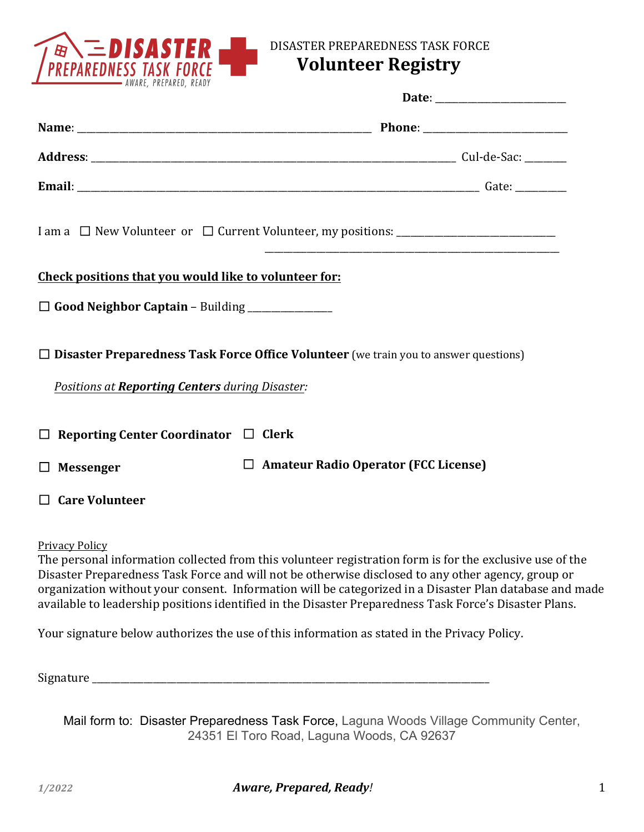

## DISASTER PREPAREDNESS TASK FORCE

# **Volunteer Registry**

|                                                         | I am a □ New Volunteer or □ Current Volunteer, my positions: ____________________           |
|---------------------------------------------------------|---------------------------------------------------------------------------------------------|
| Check positions that you would like to volunteer for:   |                                                                                             |
| $\Box$ Good Neighbor Captain – Building _______________ |                                                                                             |
| Positions at Reporting Centers during Disaster:         | $\Box$ Disaster Preparedness Task Force Office Volunteer (we train you to answer questions) |
| $\Box$ Reporting Center Coordinator $\Box$ Clerk        |                                                                                             |
| <b>Messenger</b><br>$\Box$                              | $\Box$ Amateur Radio Operator (FCC License)                                                 |
| $\Box$ Care Volunteer                                   |                                                                                             |

Privacy Policy

The personal information collected from this volunteer registration form is for the exclusive use of the Disaster Preparedness Task Force and will not be otherwise disclosed to any other agency, group or organization without your consent. Information will be categorized in a Disaster Plan database and made available to leadership positions identified in the Disaster Preparedness Task Force's Disaster Plans.

Your signature below authorizes the use of this information as stated in the Privacy Policy.

Signature

Mail form to: Disaster Preparedness Task Force, Laguna Woods Village Community Center, 24351 El Toro Road, Laguna Woods, CA 92637